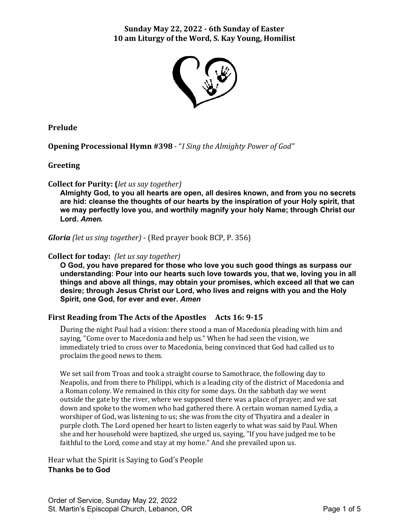# **Sunday May 22, 2022 - 6th Sunday of Easter 10 am Liturgy of the Word, S. Kay Young, Homilist**



**Prelude**

**Opening Processional Hymn #398** - "*I Sing the Almighty Power of God"*

**Greeting**

**Collect for Purity: (***let us say together)*

**Almighty God, to you all hearts are open, all desires known, and from you no secrets are hid: cleanse the thoughts of our hearts by the inspiration of your Holy spirit, that we may perfectly love you, and worthily magnify your holy Name; through Christ our Lord.** *Amen.*

*Gloria (let us sing together)* - (Red prayer book BCP, P. 356)

#### **Collect for today:** *(let us say together)*

**O God, you have prepared for those who love you such good things as surpass our understanding: Pour into our hearts such love towards you, that we, loving you in all things and above all things, may obtain your promises, which exceed all that we can desire; through Jesus Christ our Lord, who lives and reigns with you and the Holy Spirit, one God, for ever and ever.** *Amen*

# **First Reading from The Acts of the Apostles Acts 16: 9-15**

During the night Paul had a vision: there stood a man of Macedonia pleading with him and saying, "Come over to Macedonia and help us." When he had seen the vision, we immediately tried to cross over to Macedonia, being convinced that God had called us to proclaim the good news to them.

We set sail from Troas and took a straight course to Samothrace, the following day to Neapolis, and from there to Philippi, which is a leading city of the district of Macedonia and a Roman colony. We remained in this city for some days. On the sabbath day we went outside the gate by the river, where we supposed there was a place of prayer; and we sat down and spoke to the women who had gathered there. A certain woman named Lydia, a worshiper of God, was listening to us; she was from the city of Thyatira and a dealer in purple cloth. The Lord opened her heart to listen eagerly to what was said by Paul. When she and her household were baptized, she urged us, saying, "If you have judged me to be faithful to the Lord, come and stay at my home." And she prevailed upon us.

Hear what the Spirit is Saying to God's People **Thanks be to God**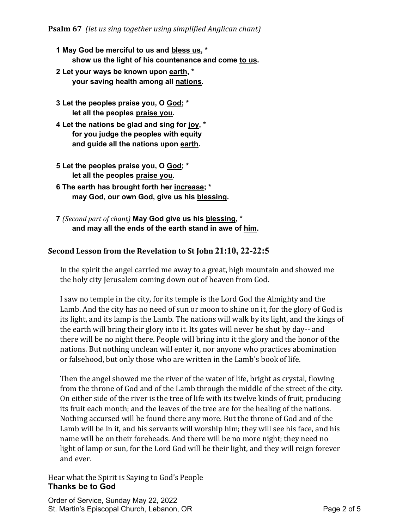- **1 May God be merciful to us and bless us, \* show us the light of his countenance and come to us.**
- **2 Let your ways be known upon earth, \* your saving health among all nations.**
- **3 Let the peoples praise you, O God; \* let all the peoples praise you.**
- **4 Let the nations be glad and sing for joy, \* for you judge the peoples with equity and guide all the nations upon earth.**
- **5 Let the peoples praise you, O God; \* let all the peoples praise you.**
- **6 The earth has brought forth her increase; \* may God, our own God, give us his blessing.**
- **7** *(Second part of chant)* **May God give us his blessing, \* and may all the ends of the earth stand in awe of him.**

# **Second Lesson from the Revelation to St John 21:10, 22-22:5**

In the spirit the angel carried me away to a great, high mountain and showed me the holy city Jerusalem coming down out of heaven from God.

I saw no temple in the city, for its temple is the Lord God the Almighty and the Lamb. And the city has no need of sun or moon to shine on it, for the glory of God is its light, and its lamp is the Lamb. The nations will walk by its light, and the kings of the earth will bring their glory into it. Its gates will never be shut by day-- and there will be no night there. People will bring into it the glory and the honor of the nations. But nothing unclean will enter it, nor anyone who practices abomination or falsehood, but only those who are written in the Lamb's book of life.

Then the angel showed me the river of the water of life, bright as crystal, flowing from the throne of God and of the Lamb through the middle of the street of the city. On either side of the river is the tree of life with its twelve kinds of fruit, producing its fruit each month; and the leaves of the tree are for the healing of the nations. Nothing accursed will be found there any more. But the throne of God and of the Lamb will be in it, and his servants will worship him; they will see his face, and his name will be on their foreheads. And there will be no more night; they need no light of lamp or sun, for the Lord God will be their light, and they will reign forever and ever.

Hear what the Spirit is Saying to God's People **Thanks be to God**

Order of Service, Sunday May 22, 2022 St. Martin's Episcopal Church, Lebanon, OR **Page 2 of 5** Page 2 of 5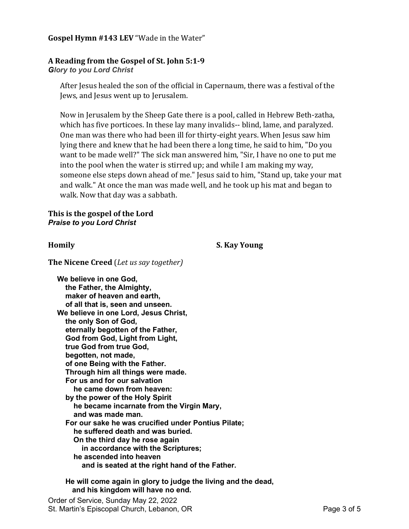#### **Gospel Hymn #143 LEV** "Wade in the Water"

# **A Reading from the Gospel of St. John 5:1-9**

*Glory to you Lord Christ*

After Jesus healed the son of the official in Capernaum, there was a festival of the Jews, and Jesus went up to Jerusalem.

Now in Jerusalem by the Sheep Gate there is a pool, called in Hebrew Beth-zatha, which has five porticoes. In these lay many invalids-- blind, lame, and paralyzed. One man was there who had been ill for thirty-eight years. When Jesus saw him lying there and knew that he had been there a long time, he said to him, "Do you want to be made well?" The sick man answered him, "Sir, I have no one to put me into the pool when the water is stirred up; and while I am making my way, someone else steps down ahead of me." Jesus said to him, "Stand up, take your mat and walk." At once the man was made well, and he took up his mat and began to walk. Now that day was a sabbath.

#### **This is the gospel of the Lord** *Praise to you Lord Christ*

**Homily S. Kay Young**

**The Nicene Creed** (*Let us say together)*

**We believe in one God, the Father, the Almighty, maker of heaven and earth, of all that is, seen and unseen. We believe in one Lord, Jesus Christ, the only Son of God, eternally begotten of the Father, God from God, Light from Light, true God from true God, begotten, not made, of one Being with the Father. Through him all things were made. For us and for our salvation he came down from heaven: by the power of the Holy Spirit he became incarnate from the Virgin Mary, and was made man. For our sake he was crucified under Pontius Pilate; he suffered death and was buried. On the third day he rose again in accordance with the Scriptures; he ascended into heaven and is seated at the right hand of the Father.**

 **He will come again in glory to judge the living and the dead, and his kingdom will have no end.**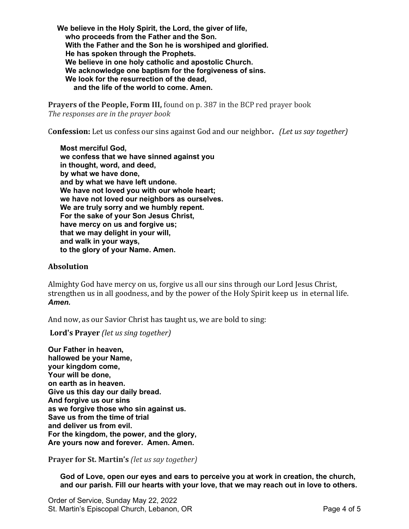**We believe in the Holy Spirit, the Lord, the giver of life, who proceeds from the Father and the Son. With the Father and the Son he is worshiped and glorified. He has spoken through the Prophets. We believe in one holy catholic and apostolic Church. We acknowledge one baptism for the forgiveness of sins. We look for the resurrection of the dead, and the life of the world to come. Amen.**

**Prayers of the People, Form III,** found on p. 387 in the BCP red prayer book *The responses are in the prayer book*

C**onfession:** Let us confess our sins against God and our neighbor**.** *(Let us say together)*

**Most merciful God, we confess that we have sinned against you in thought, word, and deed, by what we have done, and by what we have left undone. We have not loved you with our whole heart; we have not loved our neighbors as ourselves. We are truly sorry and we humbly repent. For the sake of your Son Jesus Christ, have mercy on us and forgive us; that we may delight in your will, and walk in your ways, to the glory of your Name. Amen.**

#### **Absolution**

Almighty God have mercy on us, forgive us all our sins through our Lord Jesus Christ, strengthen us in all goodness, and by the power of the Holy Spirit keep us in eternal life. *Amen.*

And now, as our Savior Christ has taught us, we are bold to sing:

**Lord's Prayer** *(let us sing together)*

**Our Father in heaven, hallowed be your Name, your kingdom come, Your will be done, on earth as in heaven. Give us this day our daily bread. And forgive us our sins as we forgive those who sin against us. Save us from the time of trial and deliver us from evil. For the kingdom, the power, and the glory, Are yours now and forever. Amen. Amen.**

**Prayer for St. Martin's** *(let us say together)*

**God of Love, open our eyes and ears to perceive you at work in creation, the church, and our parish. Fill our hearts with your love, that we may reach out in love to others.**